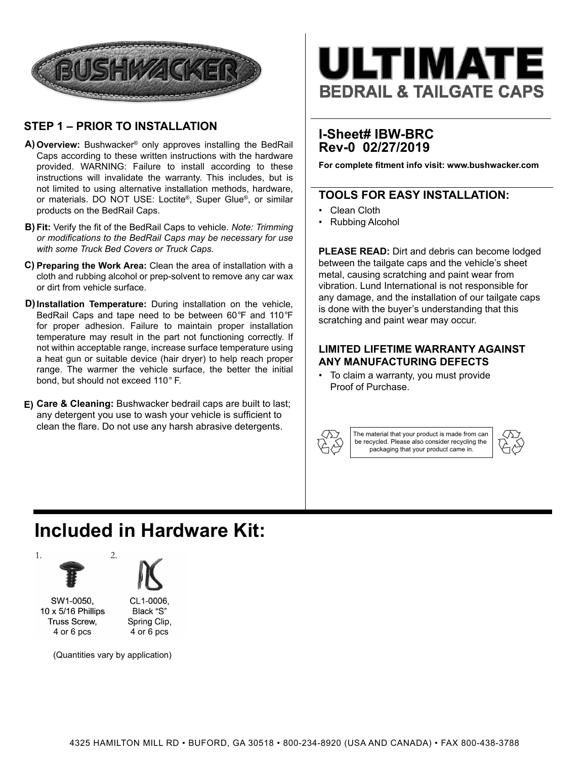

### **STEP 1 – PRIOR TO INSTALLATION**

- **Overview:** Bushwacker® only approves installing the BedRail **A)**  Caps according to these written instructions with the hardware provided. WARNING: Failure to install according to these instructions will invalidate the warranty. This includes, but is not limited to using alternative installation methods, hardware, or materials. DO NOT USE: Loctite®, Super Glue®, or similar products on the BedRail Caps.
- **Fit:** Verify the fit of the BedRail Caps to vehicle. *Note: Trimming*  **B)**  *or modifications to the BedRail Caps may be necessary for use with some Truck Bed Covers or Truck Caps.*
- **Preparing the Work Area:** Clean the area of installation with a **C)** cloth and rubbing alcohol or prep-solvent to remove any car wax or dirt from vehicle surface. Ì
- **Installation Temperature:** During installation on the vehicle, **D)** BedRail Caps and tape need to be between 60*°*F and 110*°*F for proper adhesion. Failure to maintain proper installation temperature may result in the part not functioning correctly. If not within acceptable range, increase surface temperature using a heat gun or suitable device (hair dryer) to help reach proper range. The warmer the vehicle surface, the better the initial bond, but should not exceed 110*°* F.
- **Care & Cleaning:** Bushwacker bedrail caps are built to last; **E)** any detergent you use to wash your vehicle is sufficient to clean the flare. Do not use any harsh abrasive detergents.



## **I-Sheet# IBW-BRC Rev-0 02/27/2019**

**For complete fitment info visit: www.bushwacker.com**

### **TOOLS FOR EASY INSTALLATION:**

- Clean Cloth
- Rubbing Alcohol

**PLEASE READ:** Dirt and debris can become lodged between the tailgate caps and the vehicle's sheet metal, causing scratching and paint wear from vibration. Lund International is not responsible for any damage, and the installation of our tailgate caps is done with the buyer's understanding that this scratching and paint wear may occur.

#### **LIMITED LIFETIME WARRANTY AGAINST ANY MANUFACTURING DEFECTS**

• To claim a warranty, you must provide Proof of Purchase.



The material that your product is made from can be recycled. Please also consider recycling the packaging that your product came in.



## **Included in Hardware Kit:**





SW1-0050, 10 x 5/16 Phillips Truss Screw, 4 or 6 pcs

CL1-0006, Black "S" Spring Clip, 4 or 6 pcs

(Quantities vary by application)